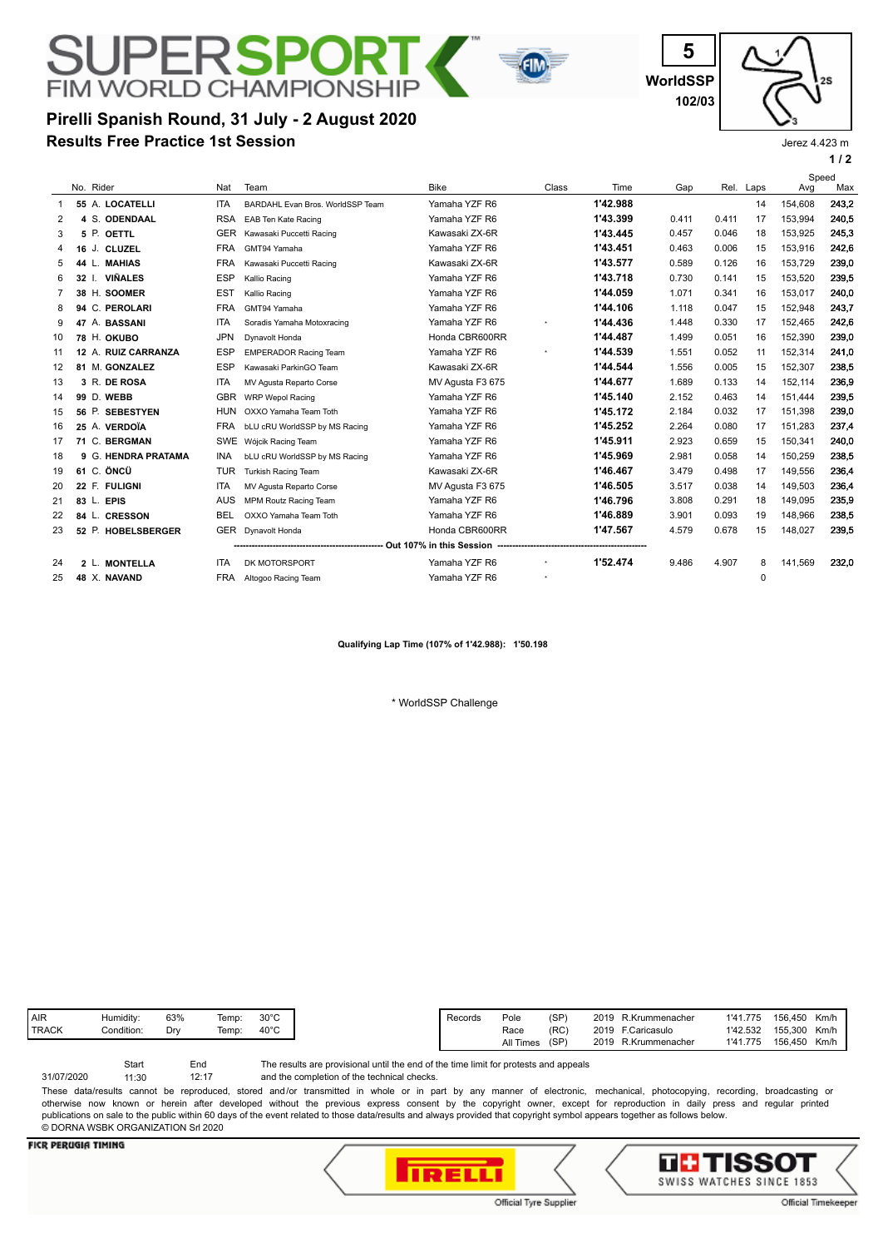# **FIM WORLD CHAMPIONSHIP Pirelli Spanish Round, 31 July - 2 August 2020**

**Results Free Practice 1st Session**

**WorldSSP**

**5**

**102/03**



Jerez 4.423 m

|                |    |           |                     |            |                                       |                                |          |          |       |       |           |         | 1/2   |
|----------------|----|-----------|---------------------|------------|---------------------------------------|--------------------------------|----------|----------|-------|-------|-----------|---------|-------|
|                |    |           |                     |            |                                       |                                |          |          |       |       |           | Speed   |       |
|                |    | No. Rider |                     | Nat        | Team                                  | <b>Bike</b>                    | Class    | Time     | Gap   |       | Rel. Laps | Avg     | Max   |
| 1              |    |           | 55 A. LOCATELLI     | <b>ITA</b> | BARDAHL Evan Bros. WorldSSP Team      | Yamaha YZF R6                  |          | 1'42.988 |       |       | 14        | 154,608 | 243,2 |
| 2              |    |           | 4 S. ODENDAAL       | <b>RSA</b> | EAB Ten Kate Racing                   | Yamaha YZF R6                  |          | 1'43.399 | 0.411 | 0.411 | 17        | 153,994 | 240,5 |
| 3              |    | 5 P.      | OETTL               | <b>GER</b> | Kawasaki Puccetti Racing              | Kawasaki ZX-6R                 |          | 1'43.445 | 0.457 | 0.046 | 18        | 153,925 | 245,3 |
| 4              | 16 |           | J. CLUZEL           | <b>FRA</b> | GMT94 Yamaha                          | Yamaha YZF R6                  |          | 1'43.451 | 0.463 | 0.006 | 15        | 153,916 | 242,6 |
| 5              |    | 44 L.     | <b>MAHIAS</b>       | <b>FRA</b> | Kawasaki Puccetti Racing              | Kawasaki ZX-6R                 |          | 1'43.577 | 0.589 | 0.126 | 16        | 153,729 | 239,0 |
| 6              |    |           | 32 I. VIÑALES       | <b>ESP</b> | Kallio Racing                         | Yamaha YZF R6                  |          | 1'43.718 | 0.730 | 0.141 | 15        | 153,520 | 239,5 |
| $\overline{7}$ |    |           | 38 H. SOOMER        | <b>EST</b> | Kallio Racing                         | Yamaha YZF R6                  |          | 1'44.059 | 1.071 | 0.341 | 16        | 153,017 | 240,0 |
| 8              |    |           | 94 C. PEROLARI      | <b>FRA</b> | GMT94 Yamaha                          | Yamaha YZF R6                  |          | 1'44.106 | 1.118 | 0.047 | 15        | 152,948 | 243,7 |
| 9              |    |           | 47 A. BASSANI       | ITA        | Soradis Yamaha Motoxracing            | Yamaha YZF R6                  |          | 1'44.436 | 1.448 | 0.330 | 17        | 152,465 | 242,6 |
| 10             |    |           | 78 H. OKUBO         | <b>JPN</b> | Dynavolt Honda                        | Honda CBR600RR                 |          | 1'44.487 | 1.499 | 0.051 | 16        | 152,390 | 239,0 |
| 11             |    |           | 12 A. RUIZ CARRANZA | <b>ESP</b> | <b>EMPERADOR Racing Team</b>          | Yamaha YZF R6                  | $\star$  | 1'44.539 | 1.551 | 0.052 | 11        | 152,314 | 241,0 |
| 12             |    |           | 81 M. GONZALEZ      | <b>ESP</b> | Kawasaki ParkinGO Team                | Kawasaki ZX-6R                 |          | 1'44.544 | 1.556 | 0.005 | 15        | 152.307 | 238,5 |
| 13             |    |           | 3 R. DE ROSA        | <b>ITA</b> | MV Agusta Reparto Corse               | MV Agusta F3 675               |          | 1'44.677 | 1.689 | 0.133 | 14        | 152,114 | 236,9 |
| 14             |    |           | 99 D. WEBB          | <b>GBR</b> | <b>WRP Wepol Racing</b>               | Yamaha YZF R6                  |          | 1'45.140 | 2.152 | 0.463 | 14        | 151,444 | 239,5 |
| 15             |    |           | 56 P. SEBESTYEN     | <b>HUN</b> | OXXO Yamaha Team Toth                 | Yamaha YZF R6                  |          | 1'45.172 | 2.184 | 0.032 | 17        | 151.398 | 239,0 |
| 16             |    |           | 25 A. VERDOÏA       | <b>FRA</b> | bLU cRU WorldSSP by MS Racing         | Yamaha YZF R6                  |          | 1'45.252 | 2.264 | 0.080 | 17        | 151.283 | 237,4 |
| 17             |    |           | 71 C. BERGMAN       | SWE        | Wójcik Racing Team                    | Yamaha YZF R6                  |          | 1'45.911 | 2.923 | 0.659 | 15        | 150,341 | 240,0 |
| 18             |    |           | 9 G. HENDRA PRATAMA | <b>INA</b> | bLU cRU WorldSSP by MS Racing         | Yamaha YZF R6                  |          | 1'45.969 | 2.981 | 0.058 | 14        | 150,259 | 238,5 |
| 19             |    |           | 61 C. ÖNCÜ          | <b>TUR</b> | <b>Turkish Racing Team</b>            | Kawasaki ZX-6R                 |          | 1'46.467 | 3.479 | 0.498 | 17        | 149,556 | 236,4 |
| 20             |    |           | 22 F. FULIGNI       | <b>ITA</b> | MV Agusta Reparto Corse               | MV Agusta F3 675               |          | 1'46.505 | 3.517 | 0.038 | 14        | 149,503 | 236,4 |
| 21             |    |           | 83 L. EPIS          | <b>AUS</b> | <b>MPM Routz Racing Team</b>          | Yamaha YZF R6                  |          | 1'46.796 | 3.808 | 0.291 | 18        | 149,095 | 235,9 |
| 22             |    |           | 84 L. CRESSON       | <b>BEL</b> | OXXO Yamaha Team Toth                 | Yamaha YZF R6                  |          | 1'46.889 | 3.901 | 0.093 | 19        | 148,966 | 238,5 |
| 23             |    |           | 52 P. HOBELSBERGER  |            | GER Dynavolt Honda                    | Honda CBR600RR                 |          | 1'47.567 | 4.579 | 0.678 | 15        | 148,027 | 239,5 |
|                |    |           |                     |            | ------------------------------------- | - Out 107% in this Session --- |          |          |       |       |           |         |       |
| 24             |    |           | 2 L. MONTELLA       | <b>ITA</b> | DK MOTORSPORT                         | Yamaha YZF R6                  | $^\star$ | 1'52.474 | 9.486 | 4.907 | 8         | 141,569 | 232,0 |
| 25             |    |           | 48 X. NAVAND        | <b>FRA</b> | Altogoo Racing Team                   | Yamaha YZF R6                  |          |          |       |       | 0         |         |       |
|                |    |           |                     |            |                                       |                                |          |          |       |       |           |         |       |

FIN

**Qualifying Lap Time (107% of 1'42.988): 1'50.198**

\* WorldSSP Challenge

| AIR          | Humiditv:  | 63% | Temp: | 3∪∘∪<br>ວບ ບ   |
|--------------|------------|-----|-------|----------------|
| <b>TRACK</b> | Condition: | Drv | Temp: | $40^{\circ}$ C |
|              |            |     |       |                |

and the completion of the technical checks. The results are provisional until the end of the time limit for protests and appeals 12:17 Start End 31/07/2020 11:30 These data/results cannot be reproduced, stored and/or transmitted in whole or in part by any manner of electronic, mechanical, photocopying, recording, broadcasting or

otherwise now known or herein after developed without the previous express consent by the copyright owner, except for reproduction in daily press and regular printed publications on sale to the public within 60 days of the event related to those data/results and always provided that copyright symbol appears together as follows below. © DORNA WSBK ORGANIZATION Srl 2020

#### **FICR PERUGIA TIMING**





Official Timekeeper